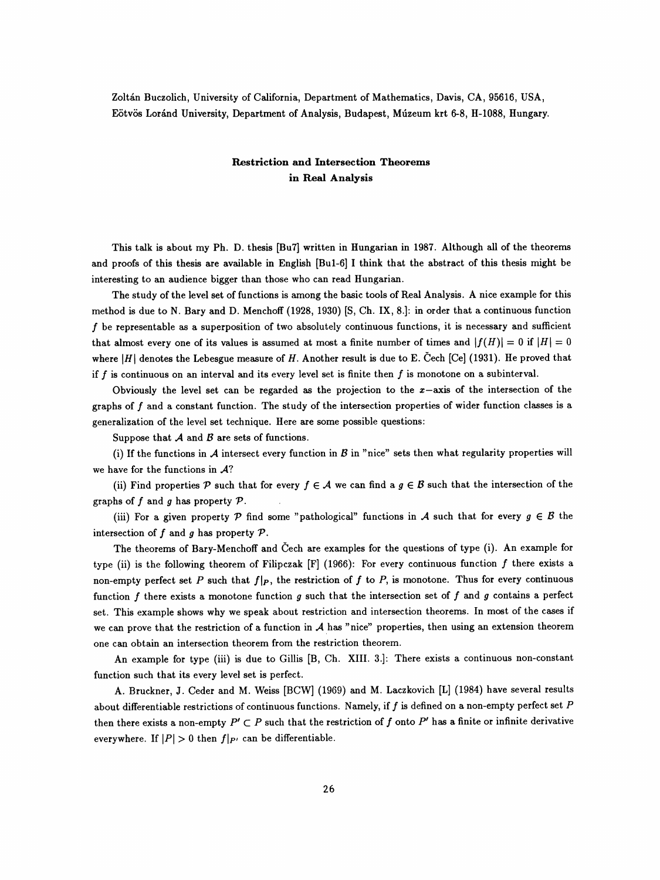Zoltán Buczolich, University of California, Department of Mathematics, Davis, CA, 95616, USA, Eötvös Loránd University, Department of Analysis, Budapest, Múzeum krt 6-8, H-1088, Hungary.

## Restriction and Intersection Theorems in Real Analysis

 This talk is about my Ph. D. thesis [Bu7] written in Hungarian in 1987. Although all of the theorems and proofs of this thesis are available in English [Bul-6] I think that the abstract of this thesis might be interesting to an audience bigger than those who can read Hungarian.

 The study of the level set of functions is among the basic tools of Real Analysis. A nice example for this method is due to N. Bary and D. Menchoff (1928, 1930) [S, Ch. IX, 8.]: in order that a continuous function  $f$  be representable as a superposition of two absolutely continuous functions, it is necessary and sufficient that almost every one of its values is assumed at most a finite number of times and  $|f(H)| = 0$  if  $|H| = 0$ where  $|H|$  denotes the Lebesgue measure of H. Another result is due to E. Čech [Ce] (1931). He proved that if  $f$  is continuous on an interval and its every level set is finite then  $f$  is monotone on a subinterval.

Obviously the level set can be regarded as the projection to the  $x$ -axis of the intersection of the graphs of  $f$  and a constant function. The study of the intersection properties of wider function classes is a generalization of the level set technique. Here are some possible questions:

Suppose that  $A$  and  $B$  are sets of functions.

(i) If the functions in  $A$  intersect every function in  $B$  in "nice" sets then what regularity properties will we have for the functions in  $A$ ?

(ii) Find properties P such that for every  $f \in A$  we can find a  $g \in B$  such that the intersection of the graphs of  $f$  and  $g$  has property  $\mathcal{P}$ .

(iii) For a given property P find some "pathological" functions in A such that for every  $g \in \mathcal{B}$  the intersection of  $f$  and  $g$  has property  $\mathcal{P}$ .

 The theorems of Bary-Menchoff and Čech are examples for the questions of type (i). An example for type (ii) is the following theorem of Filipczak  $[F]$  (1966): For every continuous function f there exists a non-empty perfect set P such that  $f|_P$ , the restriction of f to P, is monotone. Thus for every continuous function  $f$  there exists a monotone function  $g$  such that the intersection set of  $f$  and  $g$  contains a perfect set. This example shows why we speak about restriction and intersection theorems. In most of the cases if we can prove that the restriction of a function in  $A$  has "nice" properties, then using an extension theorem one can obtain an intersection theorem from the restriction theorem.

 An example for type (iii) is due to Gillis [B, Ch. XIII. 3.]: There exists a continuous non-constant function such that its every level set is perfect.

 A. Bruckner, J. Ceder and M. Weiss [BCW] (1969) and M. Laczkovich [L] (1984) have several results about differentiable restrictions of continuous functions. Namely, if  $f$  is defined on a non-empty perfect set  $P$ then there exists a non-empty  $P' \subset P$  such that the restriction of f onto  $P'$  has a finite or infinite derivative everywhere. If  $|P| > 0$  then  $f|_{P'}$  can be differentiable.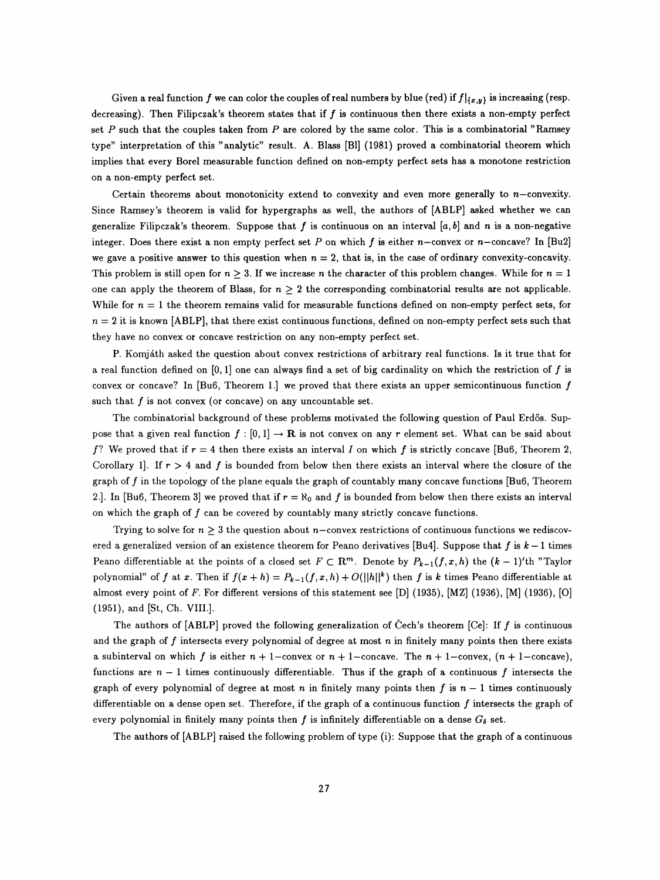Given a real function f we can color the couples of real numbers by blue (red) if  $f|_{\{x,y\}}$  is increasing (resp. decreasing). Then Filipczak's theorem states that if  $f$  is continuous then there exists a non-empty perfect set  $P$  such that the couples taken from  $P$  are colored by the same color. This is a combinatorial "Ramsey type" interpretation of this "analytic" result. A. Blass [Bl] (1981) proved a combinatorial theorem which implies that every Borei measurable function defined on non-empty perfect sets has a monotone restriction on a non-empty perfect set.

Certain theorems about monotonicity extend to convexity and even more generally to  $n$ -convexity. Since Ramsey's theorem is valid for hypergraphs as well, the authors of [ABLP] asked whether we can generalize Filipczak's theorem. Suppose that f is continuous on an interval [a, b] and n is a non-negative integer. Does there exist a non empty perfect set P on which f is either  $n-$  convex or  $n-$  concave? In [Bu2] we gave a positive answer to this question when  $n = 2$ , that is, in the case of ordinary convexity-concavity. This problem is still open for  $n > 3$ . If we increase n the character of this problem changes. While for  $n = 1$ one can apply the theorem of Blass, for  $n \geq 2$  the corresponding combinatorial results are not applicable. While for  $n = 1$  the theorem remains valid for measurable functions defined on non-empty perfect sets, for  $n = 2$  it is known [ABLP], that there exist continuous functions, defined on non-empty perfect sets such that they have no convex or concave restriction on any non-empty perfect set.

 P. Komjáth asked the question about convex restrictions of arbitrary real functions. Is it true that for a real function defined on  $[0, 1]$  one can always find a set of big cardinality on which the restriction of f is convex or concave? In [Bu6, Theorem 1.] we proved that there exists an upper semicontinuous function  $f$ such that  $f$  is not convex (or concave) on any uncountable set.

 The combinatorial background of these problems motivated the following question of Paul Erdös. Sup pose that a given real function  $f : [0, 1] \to \mathbb{R}$  is not convex on any r element set. What can be said about f? We proved that if  $r = 4$  then there exists an interval I on which f is strictly concave [Bu6, Theorem 2, Corollary 1. If  $r > 4$  and f is bounded from below then there exists an interval where the closure of the graph of  $f$  in the topology of the plane equals the graph of countably many concave functions [Bu6, Theorem 2.]. In [Bu6, Theorem 3] we proved that if  $r = \aleph_0$  and f is bounded from below then there exists an interval on which the graph of  $f$  can be covered by countably many strictly concave functions.

Trying to solve for  $n \geq 3$  the question about n-convex restrictions of continuous functions we rediscovered a generalized version of an existence theorem for Peano derivatives [Bu4]. Suppose that f is  $k-1$  times Peano differentiable at the points of a closed set  $F \subset \mathbb{R}^m$ . Denote by  $P_{k-1}(f, x, h)$  the  $(k-1)'$ th "Taylor polynomial" of f at x. Then if  $f(x + h) = P_{k-1}(f, x, h) + O(||h||^k)$  then f is k times Peano differentiable at almost every point of F. For different versions of this statement see [D] (1935), [MZ] (1936), [M] (1936), [O] (1951), and [St, Ch. VIII.].

The authors of  $[ABLP]$  proved the following generalization of Čech's theorem  $[Ce]$ : If f is continuous and the graph of  $f$  intersects every polynomial of degree at most  $n$  in finitely many points then there exists a subinterval on which f is either  $n + 1$ -convex or  $n + 1$ -concave. The  $n + 1$ -convex,  $(n + 1$ -concave), functions are  $n-1$  times continuously differentiable. Thus if the graph of a continuous f intersects the graph of every polynomial of degree at most n in finitely many points then f is  $n - 1$  times continuously differentiable on a dense open set. Therefore, if the graph of a continuous function  $f$  intersects the graph of every polynomial in finitely many points then f is infinitely differentiable on a dense  $G_{\delta}$  set.

The authors of [ABLP] raised the following problem of type (i): Suppose that the graph of a continuous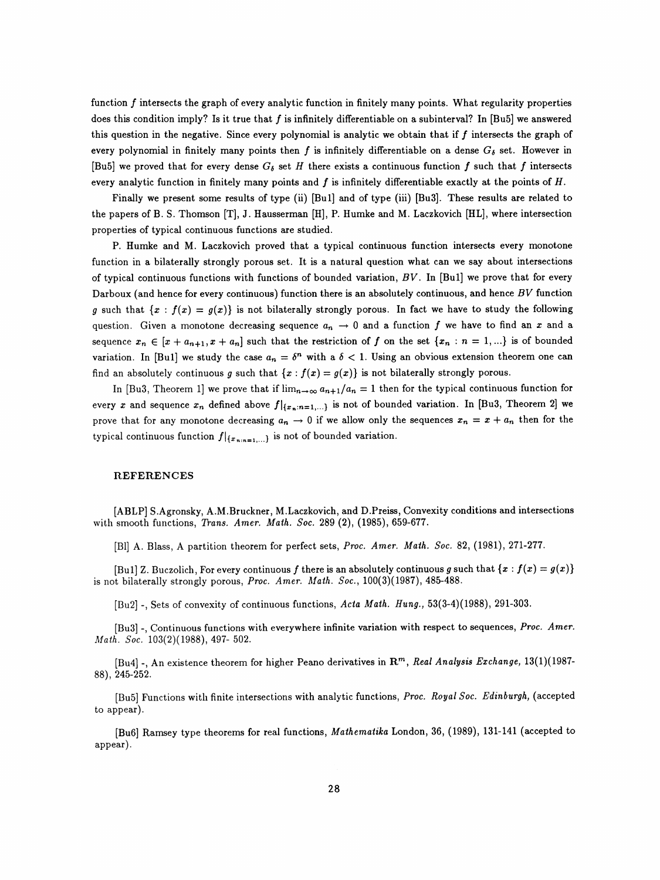function  $f$  intersects the graph of every analytic function in finitely many points. What regularity properties does this condition imply? Is it true that  $f$  is infinitely differentiable on a subinterval? In [Bu5] we answered this question in the negative. Since every polynomial is analytic we obtain that if  $f$  intersects the graph of every polynomial in finitely many points then f is infinitely differentiable on a dense  $G_{\delta}$  set. However in [Bu5] we proved that for every dense  $G_{\delta}$  set H there exists a continuous function f such that f intersects every analytic function in finitely many points and  $f$  is infinitely differentiable exactly at the points of  $H$ .

Finally we present some results of type (ii) [Bu1] and of type (iii) [Bu3]. These results are related to the papers of B. S. Thomson [T], J. Hausserman [H], P. Humke and M. Laczkovich [HL], where intersection properties of typical continuous functions are studied.

 P. Humke and M. Laczkovich proved that a typical continuous function intersects every monotone function in a bilaterally strongly porous set. It is a natural question what can we say about intersections of typical continuous functions with functions of bounded variation,  $BV$ . In [Bu1] we prove that for every Darboux (and hence for every continuous) function there is an absolutely continuous, and hence  $BV$  function g such that  $\{x : f(x) = g(x)\}$  is not bilaterally strongly porous. In fact we have to study the following question. Given a monotone decreasing sequence  $a_n \to 0$  and a function f we have to find an x and a sequence  $x_n \in [x + a_{n+1}, x + a_n]$  such that the restriction of f on the set  $\{x_n : n = 1, ...\}$  is of bounded variation. In [Bu1] we study the case  $a_n = \delta^n$  with a  $\delta < 1$ . Using an obvious extension theorem one can find an absolutely continuous g such that  $\{x : f(x) = g(x)\}$  is not bilaterally strongly porous.

In [Bu3, Theorem 1] we prove that if  $\lim_{n\to\infty} a_{n+1}/a_n = 1$  then for the typical continuous function for every x and sequence  $x_n$  defined above  $f|_{\{x_n:n=1,\ldots\}}$  is not of bounded variation. In [Bu3, Theorem 2] we prove that for any monotone decreasing  $a_n \to 0$  if we allow only the sequences  $x_n = x + a_n$  then for the typical continuous function  $f|_{\{x_{n:n=1,...}\}}$  is not of bounded variation.

## REFERENCES

 [ABLP] S.Agronsky, A.M.Bruckner, M. Laczkovich, and D.Preiss, Convexity conditions and intersections with smooth functions, Trans. Amer. Math. Soc. 289 (2), (1985), 659-677.

[Bl] A. Blass, A partition theorem for perfect sets, Proc. Amer. Math. Soc. 82, (1981), 271-277.

[Bu1] Z. Buczolich, For every continuous f there is an absolutely continuous g such that  $\{x : f(x) = g(x)\}$ is not bilaterally strongly porous, Proc. Amer. Math. Soc.,  $100(3)(1987)$ , 485-488.

 $[Bu2]$  -, Sets of convexity of continuous functions, Acta Math. Hung., 53(3-4)(1988), 291-303.

[Bu3] -, Continuous functions with everywhere infinite variation with respect to sequences, Proc. Amer. Math. Soc.  $103(2)(1988)$ , 497- 502.

[Bu4] -, An existence theorem for higher Peano derivatives in  $\mathbb{R}^m$ , Real Analysis Exchange, 13(1)(1987-88), 245-252.

[Bu5] Functions with finite intersections with analytic functions, Proc. Royal Soc. Edinburgh, (accepted to appear).

 [Bu6] Ramsey type theorems for real functions, Mathematika London, 36, (1989), 131-141 (accepted to appear).